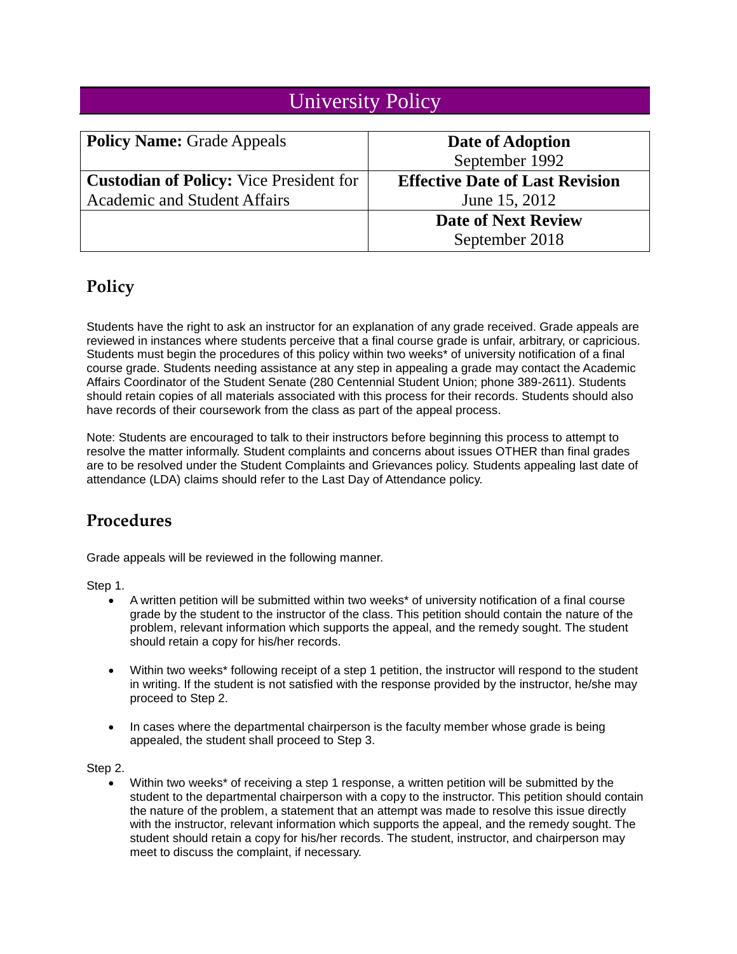## University Policy

| <b>Policy Name: Grade Appeals</b>              | Date of Adoption                       |
|------------------------------------------------|----------------------------------------|
|                                                | September 1992                         |
| <b>Custodian of Policy:</b> Vice President for | <b>Effective Date of Last Revision</b> |
| <b>Academic and Student Affairs</b>            | June 15, 2012                          |
|                                                | <b>Date of Next Review</b>             |
|                                                | September 2018                         |

## **Policy**

Students have the right to ask an instructor for an explanation of any grade received. Grade appeals are reviewed in instances where students perceive that a final course grade is unfair, arbitrary, or capricious. Students must begin the procedures of this policy within two weeks\* of university notification of a final course grade. Students needing assistance at any step in appealing a grade may contact the Academic Affairs Coordinator of the Student Senate (280 Centennial Student Union; phone 389-2611). Students should retain copies of all materials associated with this process for their records. Students should also have records of their coursework from the class as part of the appeal process.

Note: Students are encouraged to talk to their instructors before beginning this process to attempt to resolve the matter informally. Student complaints and concerns about issues OTHER than final grades are to be resolved under the Student Complaints and Grievances policy. Students appealing last date of attendance (LDA) claims should refer to the Last Day of Attendance policy.

## **Procedures**

Grade appeals will be reviewed in the following manner.

Step 1.

- A written petition will be submitted within two weeks\* of university notification of a final course grade by the student to the instructor of the class. This petition should contain the nature of the problem, relevant information which supports the appeal, and the remedy sought. The student should retain a copy for his/her records.
- Within two weeks<sup>\*</sup> following receipt of a step 1 petition, the instructor will respond to the student in writing. If the student is not satisfied with the response provided by the instructor, he/she may proceed to Step 2.
- In cases where the departmental chairperson is the faculty member whose grade is being appealed, the student shall proceed to Step 3.

Step 2.

Within two weeks<sup>\*</sup> of receiving a step 1 response, a written petition will be submitted by the student to the departmental chairperson with a copy to the instructor. This petition should contain the nature of the problem, a statement that an attempt was made to resolve this issue directly with the instructor, relevant information which supports the appeal, and the remedy sought. The student should retain a copy for his/her records. The student, instructor, and chairperson may meet to discuss the complaint, if necessary.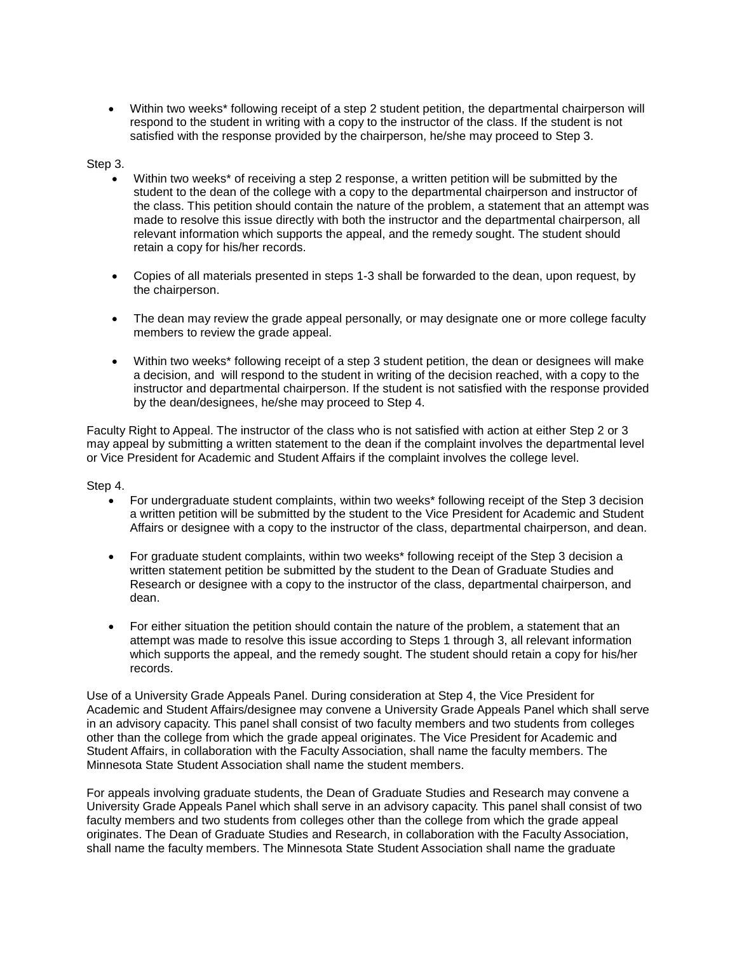Within two weeks\* following receipt of a step 2 student petition, the departmental chairperson will respond to the student in writing with a copy to the instructor of the class. If the student is not satisfied with the response provided by the chairperson, he/she may proceed to Step 3.

## Step 3.

- Within two weeks\* of receiving a step 2 response, a written petition will be submitted by the student to the dean of the college with a copy to the departmental chairperson and instructor of the class. This petition should contain the nature of the problem, a statement that an attempt was made to resolve this issue directly with both the instructor and the departmental chairperson, all relevant information which supports the appeal, and the remedy sought. The student should retain a copy for his/her records.
- Copies of all materials presented in steps 1-3 shall be forwarded to the dean, upon request, by the chairperson.
- The dean may review the grade appeal personally, or may designate one or more college faculty members to review the grade appeal.
- Within two weeks\* following receipt of a step 3 student petition, the dean or designees will make a decision, and will respond to the student in writing of the decision reached, with a copy to the instructor and departmental chairperson. If the student is not satisfied with the response provided by the dean/designees, he/she may proceed to Step 4.

Faculty Right to Appeal. The instructor of the class who is not satisfied with action at either Step 2 or 3 may appeal by submitting a written statement to the dean if the complaint involves the departmental level or Vice President for Academic and Student Affairs if the complaint involves the college level.

Step 4.

- For undergraduate student complaints, within two weeks\* following receipt of the Step 3 decision a written petition will be submitted by the student to the Vice President for Academic and Student Affairs or designee with a copy to the instructor of the class, departmental chairperson, and dean.
- For graduate student complaints, within two weeks<sup>\*</sup> following receipt of the Step 3 decision a written statement petition be submitted by the student to the Dean of Graduate Studies and Research or designee with a copy to the instructor of the class, departmental chairperson, and dean.
- For either situation the petition should contain the nature of the problem, a statement that an attempt was made to resolve this issue according to Steps 1 through 3, all relevant information which supports the appeal, and the remedy sought. The student should retain a copy for his/her records.

Use of a University Grade Appeals Panel. During consideration at Step 4, the Vice President for Academic and Student Affairs/designee may convene a University Grade Appeals Panel which shall serve in an advisory capacity. This panel shall consist of two faculty members and two students from colleges other than the college from which the grade appeal originates. The Vice President for Academic and Student Affairs, in collaboration with the Faculty Association, shall name the faculty members. The Minnesota State Student Association shall name the student members.

For appeals involving graduate students, the Dean of Graduate Studies and Research may convene a University Grade Appeals Panel which shall serve in an advisory capacity. This panel shall consist of two faculty members and two students from colleges other than the college from which the grade appeal originates. The Dean of Graduate Studies and Research, in collaboration with the Faculty Association, shall name the faculty members. The Minnesota State Student Association shall name the graduate